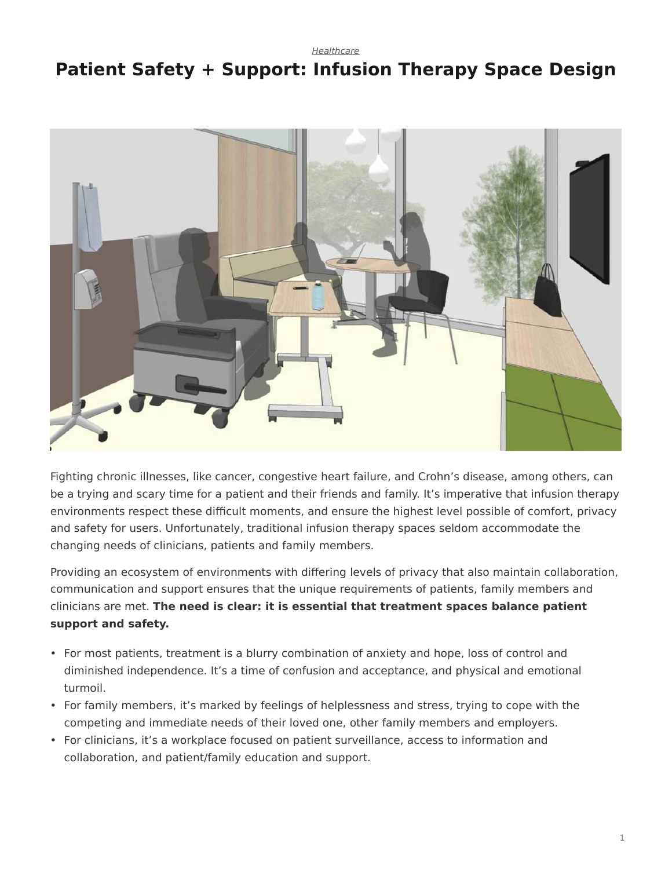*[Healthcare](https://www.steelcase.com/research/topics/healthcare/)*

# <span id="page-0-0"></span>**Patient Safety + Support: Infusion Therapy Space Design**



Fighting chronic illnesses, like cancer, congestive heart failure, and Crohn's disease, among others, can be a trying and scary time for a patient and their friends and family. It's imperative that infusion therapy environments respect these difficult moments, and ensure the highest level possible of comfort, privacy and safety for users. Unfortunately, traditional infusion therapy spaces seldom accommodate the changing needs of clinicians, patients and family members.

Providing an ecosystem of environments with differing levels of privacy that also maintain collaboration, communication and support ensures that the unique requirements of patients, family members and clinicians are met. **The need is clear: it is essential that treatment spaces balance patient support and safety.**

- For most patients, treatment is a blurry combination of anxiety and hope, loss of control and diminished independence. It's a time of confusion and acceptance, and physical and emotional turmoil.
- For family members, it's marked by feelings of helplessness and stress, trying to cope with the competing and immediate needs of their loved one, other family members and employers.
- For clinicians, it's a workplace focused on patient surveillance, access to information and collaboration, and patient/family education and support.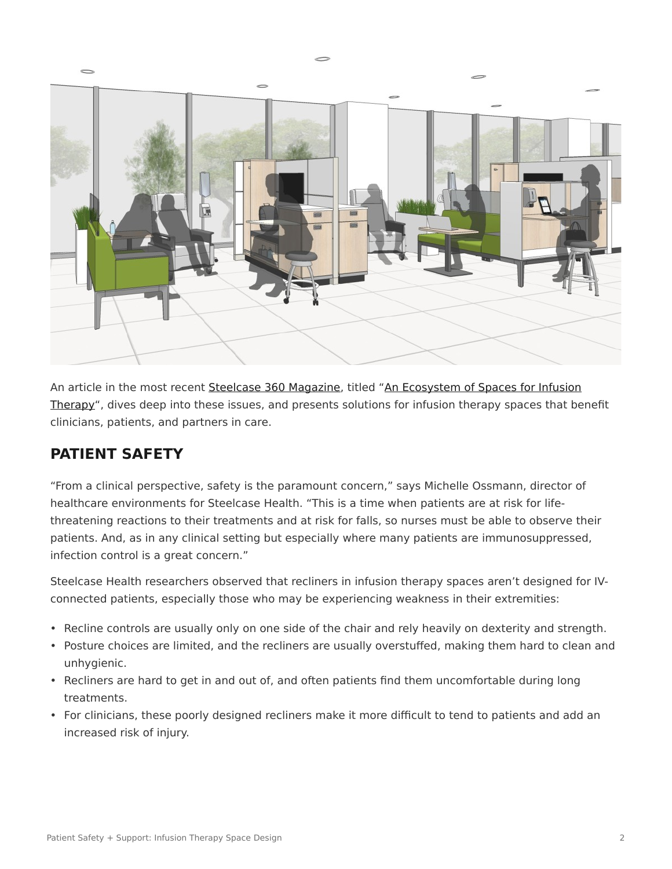

An article in the most recent [Steelcase 360 Magazine](https://www.steelcase.com/insights/360-magazine/), titled ["An Ecosystem of Spaces for Infusion](https://www.steelcase.com/insights/articles/ecosystem-spaces-infusion-therapy/) [Therapy](https://www.steelcase.com/insights/articles/ecosystem-spaces-infusion-therapy/)", dives deep into these issues, and presents solutions for infusion therapy spaces that benefit clinicians, patients, and partners in care.

### **PATIENT SAFETY**

"From a clinical perspective, safety is the paramount concern," says Michelle Ossmann, director of healthcare environments for Steelcase Health. "This is a time when patients are at risk for lifethreatening reactions to their treatments and at risk for falls, so nurses must be able to observe their patients. And, as in any clinical setting but especially where many patients are immunosuppressed, infection control is a great concern."

Steelcase Health researchers observed that recliners in infusion therapy spaces aren't designed for IVconnected patients, especially those who may be experiencing weakness in their extremities:

- Recline controls are usually only on one side of the chair and rely heavily on dexterity and strength.
- Posture choices are limited, and the recliners are usually overstuffed, making them hard to clean and unhygienic.
- Recliners are hard to get in and out of, and often patients find them uncomfortable during long treatments.
- For clinicians, these poorly designed recliners make it more difficult to tend to patients and add an increased risk of injury.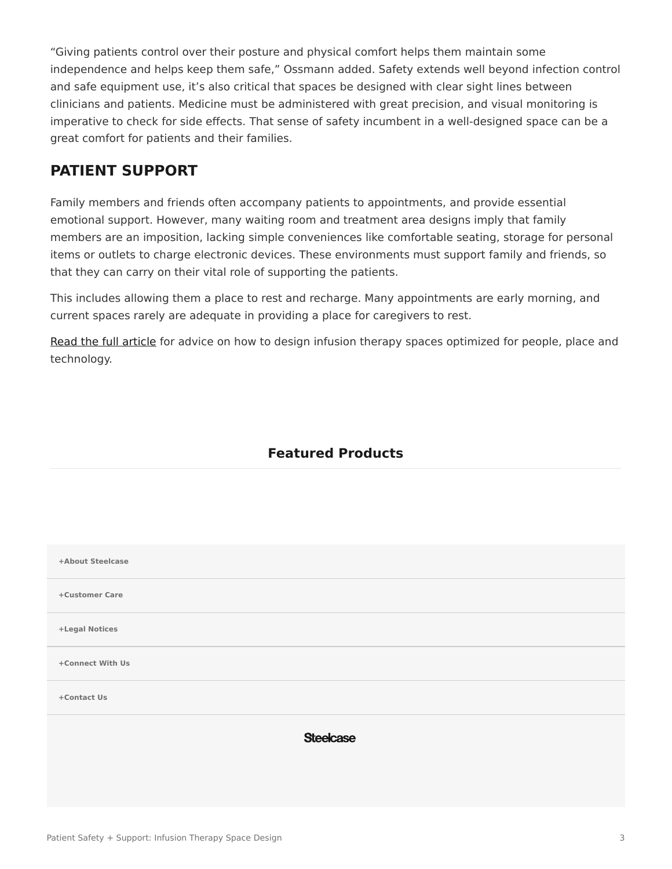"Giving patients control over their posture and physical comfort helps them maintain some independence and helps keep them safe," Ossmann added. Safety extends well beyond infection control and safe equipment use, it's also critical that spaces be designed with clear sight lines between clinicians and patients. Medicine must be administered with great precision, and visual monitoring is imperative to check for side effects. That sense of safety incumbent in a well-designed space can be a great comfort for patients and their families.

#### **PATIENT SUPPORT**

Family members and friends often accompany patients to appointments, and provide essential emotional support. However, many waiting room and treatment area designs imply that family members are an imposition, lacking simple conveniences like comfortable seating, storage for personal items or outlets to charge electronic devices. These environments must support family and friends, so that they can carry on their vital role of supporting the patients.

This includes allowing them a place to rest and recharge. Many appointments are early morning, and current spaces rarely are adequate in providing a place for caregivers to rest.

[Read the full article](https://www.steelcase.com/insights/articles/ecosystem-spaces-infusion-therapy/) for advice on how to design infusion therapy spaces optimized for people, place and technology.

#### **Featured Products**

| +About Steelcase |                  |
|------------------|------------------|
| +Customer Care   |                  |
| +Legal Notices   |                  |
| +Connect With Us |                  |
| +Contact Us      |                  |
|                  | <b>Steelcase</b> |
|                  |                  |
|                  |                  |
|                  |                  |